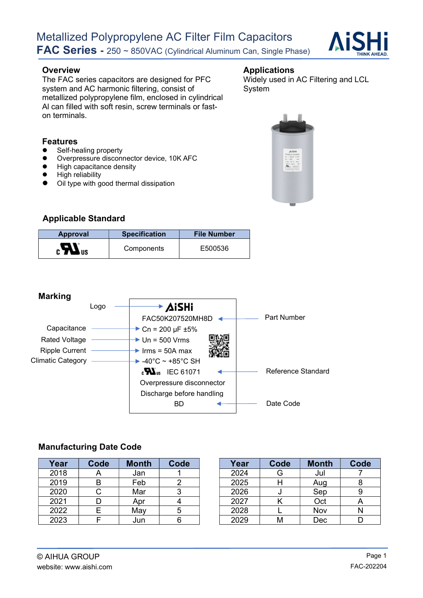

The FAC series capacitors are designed for PFC system and AC harmonic filtering, consist of metallized polypropylene film, enclosed in cylindrical Al can filled with soft resin, screw terminals or faston terminals.

## Overview **Applications**

Widely used in AC Filtering and LCL System



- Self-healing property
- Overpressure disconnector device, 10K AFC
- High capacitance density
- High reliability
- Oil type with good thermal dissipation



#### Applicable Standard

| <b>Approval</b> | <b>Specification</b> | <b>File Number</b> |
|-----------------|----------------------|--------------------|
| $_{c}H_{us}$    | Components           | E500536            |



#### Manufacturing Date Code

| Year | Code      | <b>Month</b> | Code | Year | Code | <b>Month</b> | Code |
|------|-----------|--------------|------|------|------|--------------|------|
| 2018 | $\forall$ | Jan          |      | 2024 | G    | Jul          |      |
| 2019 |           | Feb          |      | 2025 | H    | Aug          |      |
| 2020 |           | Mar          |      | 2026 | u    | Sep          |      |
| 2021 |           | Apr          |      | 2027 |      | Oct          |      |
| 2022 |           | May          |      | 2028 |      | Nov          |      |
| 2023 |           | Jun          |      | 2029 | М    | Dec          |      |

| Year | Code | <b>Month</b> | Code |
|------|------|--------------|------|
| 2024 | G    | Jul          |      |
| 2025 |      | Aug          |      |
| 2026 |      | Sep          |      |
| 2027 |      | Oct          |      |
| 2028 |      | Nov          |      |
| 2029 |      | Dec          |      |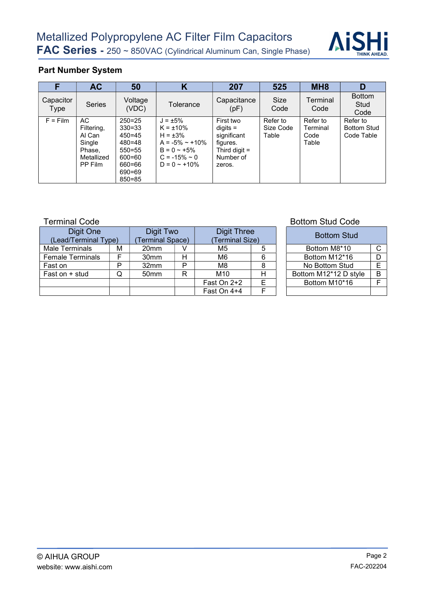

## Part Number System

|                   | <b>AC</b>                                                                | 50                                                                                                                 | Κ                                                                                                                                         | 207                                                                                          | 525                            | MH <sub>8</sub>                       | D                                            |
|-------------------|--------------------------------------------------------------------------|--------------------------------------------------------------------------------------------------------------------|-------------------------------------------------------------------------------------------------------------------------------------------|----------------------------------------------------------------------------------------------|--------------------------------|---------------------------------------|----------------------------------------------|
| Capacitor<br>Type | <b>Series</b>                                                            | Voltage<br>(VDC)                                                                                                   | Tolerance                                                                                                                                 | Capacitance<br>(pF)                                                                          | Size<br>Code                   | Terminal<br>Code                      | <b>Bottom</b><br>Stud<br>Code                |
| $F = Film$        | AC.<br>Filtering,<br>Al Can<br>Single<br>Phase,<br>Metallized<br>PP Film | $250 = 25$<br>$330 = 33$<br>$450 = 45$<br>$480 = 48$<br>$550 = 55$<br>$600 = 60$<br>660=66<br>690=69<br>$850 = 85$ | $J = \pm 5\%$<br>$K = \pm 10\%$<br>$H = \pm 3\%$<br>$A = -5\% \sim +10\%$<br>$B = 0 - 15%$<br>$C = -15\% \approx 0$<br>$D = 0 \sim +10\%$ | First two<br>$diqits =$<br>significant<br>figures.<br>Third digit $=$<br>Number of<br>zeros. | Refer to<br>Size Code<br>Table | Refer to<br>Terminal<br>Code<br>Table | Refer to<br><b>Bottom Stud</b><br>Code Table |

| Digit One<br>(Lead/Terminal Type) |   | Digit Two<br>Terminal Space) |   | Digit Three<br>(Terminal Size) |  | <b>Bottom Stud</b>    |   |
|-----------------------------------|---|------------------------------|---|--------------------------------|--|-----------------------|---|
| Male Terminals                    | М | 20 <sub>mm</sub>             |   | M5                             |  | Bottom M8*10          | C |
| <b>Female Terminals</b>           |   | 30 <sub>mm</sub>             | н | M6                             |  | Bottom M12*16         | D |
| Fast on                           | D | 32mm                         | Þ | M8                             |  | No Bottom Stud        | E |
| Fast on $+$ stud                  | Q | 50 <sub>mm</sub>             | R | M <sub>10</sub>                |  | Bottom M12*12 D style | B |
|                                   |   |                              |   | Fast On 2+2                    |  | Bottom M10*16         | E |
|                                   |   |                              |   | Fast On 4+4                    |  |                       |   |

#### Terminal Code **Bottom Stud Code Bottom Stud Code**

| <b>Digit Three</b><br>(Terminal Size) |    | <b>Bottom Stud</b>    |   |
|---------------------------------------|----|-----------------------|---|
| M5                                    | 5  | Bottom M8*10          |   |
| M <sub>6</sub>                        | 6  | Bottom M12*16         |   |
| M <sub>8</sub>                        | 8  | No Bottom Stud        | F |
| M <sub>10</sub>                       | н  | Bottom M12*12 D style |   |
| st On 2+2                             | E. | Bottom M10*16         |   |
| st On 4+4                             |    |                       |   |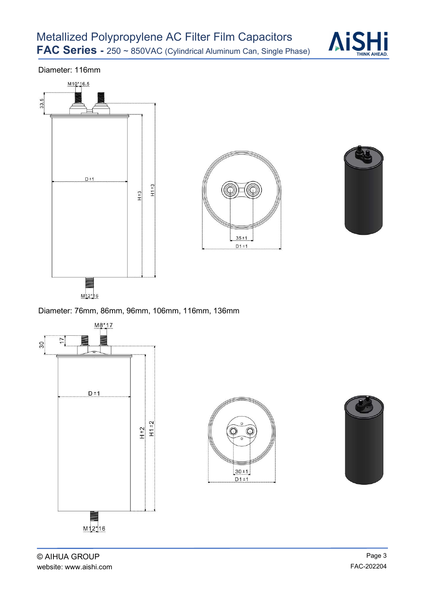

Diameter: 116mm







Diameter: 76mm, 86mm, 96mm, 106mm, 116mm, 136mm

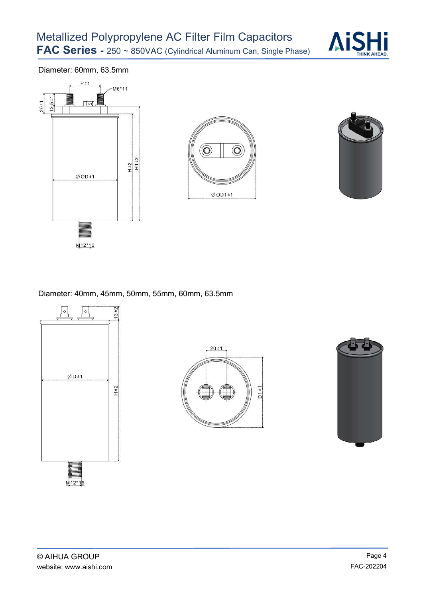

Diameter: 60mm, 63.5mm







Diameter: 40mm, 45mm, 50mm, 55mm, 60mm, 63.5mm





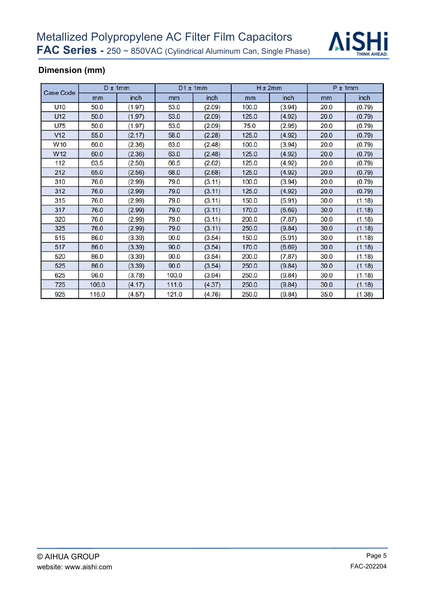

## Dimension (mm)

|                  | $D \pm 1$ mm |        |       | $D1 \pm 1$ mm |       | $H \pm 2mm$ | $P \pm 1$ mm |        |  |
|------------------|--------------|--------|-------|---------------|-------|-------------|--------------|--------|--|
| <b>Case Code</b> | mm           | inch   | mm    | inch          | mm    | inch        | mm           | inch   |  |
| <b>U10</b>       | 50.0         | (1.97) | 53.0  | (2.09)        | 100.0 | (3.94)      | 20.0         | (0.79) |  |
| U12              | 50.0         | (1.97) | 53.0  | (2.09)        | 125.0 | (4.92)      | 20.0         | (0.79) |  |
| <b>U75</b>       | 50.0         | (1.97) | 53.0  | (2.09)        | 75.0  | (2.95)      | 20.0         | (0.79) |  |
| V12              | 55.0         | (2.17) | 58.0  | (2.28)        | 125.0 | (4.92)      | 20.0         | (0.79) |  |
| W <sub>10</sub>  | 60.0         | (2.36) | 63.0  | (2.48)        | 100.0 | (3.94)      | 20.0         | (0.79) |  |
| W <sub>12</sub>  | 60.0         | (2.36) | 63.0  | (2.48)        | 125.0 | (4.92)      | 20.0         | (0.79) |  |
| 112              | 63.5         | (2.50) | 66.5  | (2.62)        | 125.0 | (4.92)      | 20.0         | (0.79) |  |
| 212              | 65.0         | (2.56) | 68.0  | (2.68)        | 125.0 | (4.92)      | 20.0         | (0.79) |  |
| 310              | 76.0         | (2.99) | 79.0  | (3.11)        | 100.0 | (3.94)      | 20.0         | (0.79) |  |
| 312              | 76.0         | (2.99) | 79.0  | (3.11)        | 125.0 | (4.92)      | 20.0         | (0.79) |  |
| 315              | 76.0         | (2.99) | 79.0  | (3.11)        | 150.0 | (5.91)      | 30.0         | (1.18) |  |
| 317              | 76.0         | (2.99) | 79.0  | (3.11)        | 170.0 | (6.69)      | 30.0         | (1.18) |  |
| 320              | 76.0         | (2.99) | 79.0  | (3.11)        | 200.0 | (7.87)      | 30.0         | (1.18) |  |
| 325              | 76.0         | (2.99) | 79.0  | (3.11)        | 250.0 | (9.84)      | 30.0         | (1.18) |  |
| 515              | 86.0         | (3.39) | 90.0  | (3.54)        | 150.0 | (5.91)      | 30.0         | (1.18) |  |
| 517              | 86.0         | (3.39) | 90.0  | (3.54)        | 170.0 | (6.69)      | 30.0         | (1.18) |  |
| 520              | 86.0         | (3.39) | 90.0  | (3.54)        | 200.0 | (7.87)      | 30.0         | (1.18) |  |
| 525              | 86.0         | (3.39) | 90.0  | (3.54)        | 250.0 | (9.84)      | 30.0         | (1.18) |  |
| 625              | 96.0         | (3.78) | 100.0 | (3.94)        | 250.0 | (9.84)      | 30.0         | (1.18) |  |
| 725              | 106.0        | (4.17) | 111.0 | (4.37)        | 250.0 | (9.84)      | 30.0         | (1.18) |  |
| 925              | 116.0        | (4.57) | 121.0 | (4.76)        | 250.0 | (9.84)      | 35.0         | (1.38) |  |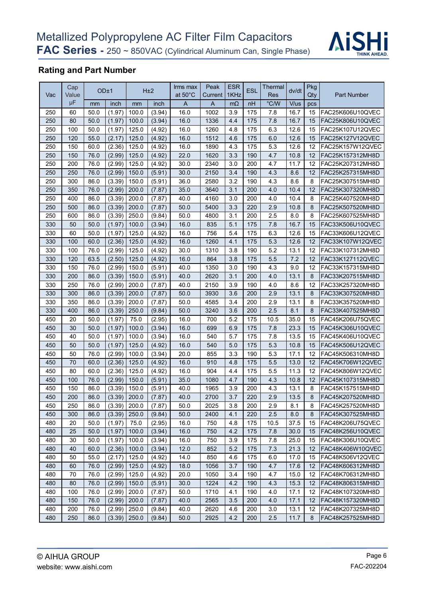

## Rating and Part Number

|            |              | <b>Rating and Part Number</b> |                        |                |                  |                               |                 |                    |                         |                       |              |                         |                                      |
|------------|--------------|-------------------------------|------------------------|----------------|------------------|-------------------------------|-----------------|--------------------|-------------------------|-----------------------|--------------|-------------------------|--------------------------------------|
| Vac        | Cap<br>Value | OD±1                          |                        |                | H <sub>±2</sub>  | Irms max<br>at $50^{\circ}$ C | Peak<br>Current | <b>ESR</b><br>1KHz | ESL                     | ⊺hermal<br><b>Res</b> | dv/dt        | Pkg<br>Qty              | <b>Part Number</b>                   |
|            | μF           | mm                            | inch                   | mm             | inch             | $\overline{A}$                | A               | $m\Omega$          | nH                      | $\degree$ C/W<br>7.8  | V/us         | pcs                     | FAC25K606U10QVEC                     |
| 250<br>250 | 60<br>80     | 50.0<br>50.0                  | (1.97)<br>(1.97)       | 100.0<br>100.0 | (3.94)<br>(3.94) | 16.0<br>16.0                  | 1002<br>1336    | 3.9<br>4.4         | 175<br>175              | 7.8                   | 16.7<br>16.7 | 15<br>15                | FAC25K806U10QVEC                     |
| 250        | 100          | 50.0                          | (1.97)                 | 125.0          | (4.92)           | 16.0                          | 1260            | 4.8                | 175                     | 6.3                   | 12.6         | 15                      | FAC25K107U12QVEC                     |
| 250        | 120          | 55.0                          | (2.17)                 | 125.0          | (4.92)           | 16.0                          | 1512            | 4.6                | 175                     | 6.0                   | 12.6         | 15                      | FAC25K127V12QVEC                     |
| 250        | 150          | 60.0                          | (2.36)                 | 125.0          | (4.92)           | 16.0                          | 1890            | 4.3                | 175                     | 5.3                   | 12.6         | 12                      | FAC25K157W12QVEC                     |
| 250<br>250 | 150<br>200   | 76.0<br>76.0                  | (2.99)<br>(2.99)       | 125.0<br>125.0 | (4.92)           | 22.0<br>30.0                  | 1620<br>2340    | 3.3<br>3.0         | 190<br>200              | 4.7<br>4.7            | 10.8<br>11.7 | 12<br>12                | FAC25K157312MH8D<br>FAC25K207312MH8D |
| 250        | 250          | 76.0                          | (2.99)                 | 150.0          | (4.92)<br>(5.91) | 30.0                          | 2150            | 3.4                | 190                     | 4.3                   | 8.6          | 12                      | FAC25K257315MH8D                     |
| 250        | 300          | 86.0                          | (3.39)                 | 150.0          | (5.91)           | 36.0                          | 2580            | 3.2                | 190                     | 4.3                   | 8.6          | 8                       | FAC25K307515MH8D                     |
| 250        | 350          | 76.0                          | (2.99)                 | 200.0          | (7.87)           | 35.0                          | 3640            | 3.1                | 200                     | 4.0                   | 10.4         | 12                      | FAC25K307320MH8D                     |
| 250        | 400          | 86.0                          | (3.39)                 | 200.0          | (7.87)           | 40.0                          | 4160            | 3.0                | 200                     | 4.0                   | 10.4         | 8                       | FAC25K407520MH8D                     |
| 250        | 500          | 86.0                          | (3.39)                 | 200.0          | (7.87)           | 50.0                          | 5400            | 3.3                | 220                     | 2.9                   | 10.8         | 8                       | FAC25K507520MH8D                     |
| 250        | 600          | 86.0                          | (3.39)                 | 250.0          | (9.84)           | 50.0                          | 4800            | 3.1                | 200                     | 2.5                   | 8.0          | 8<br>15                 | FAC25K607525MH8D<br>FAC33K506U10QVEC |
| 330<br>330 | 50<br>60     | 50.0<br>50.0                  | (1.97) 100.0<br>(1.97) | 125.0          | (3.94)<br>(4.92) | 16.0<br>16.0                  | 835<br>756      | 5.1<br>5.4         | $\overline{175}$<br>175 | 7.8<br>6.3            | 16.7<br>12.6 | 15                      | FAC33K606U12QVEC                     |
| 330        | 100          | 60.0                          | (2.36)                 | 125.0          | (4.92)           | 16.0                          | 1260            | 4.1                | 175                     | 5.3                   | 12.6         | 12                      | FAC33K107W12QVEC                     |
| 330        | 100          | 76.0                          | (2.99)                 | 125.0          | (4.92)           | 30.0                          | 1310            | 3.8                | 190                     | 5.2                   | 13.1         | 12                      | FAC33K107312MH8D                     |
| 330        | 120          | 63.5                          | (2.50)                 | 125.0          | (4.92)           | 16.0                          | 864             | 3.8                | 175                     | 5.5                   | 7.2          | 12                      | FAC33K127112QVEC                     |
| 330        | 150          | 76.0                          | (2.99)                 | 150.0          | (5.91)           | 40.0                          | 1350            | 3.0                | 190                     | 4.3                   | 9.0          | 12                      | FAC33K157315MH8D                     |
| 330        | 200          | 86.0                          | (3.39)                 | 150.0          | (5.91)           | 40.0                          | 2620            | 3.1                | 200                     | 4.0                   | 13.1         | 8                       | FAC33K207515MH8D                     |
| 330        | 250          | 76.0                          | (2.99)                 | 200.0          | (7.87)           | 40.0                          | 2150            | 3.9                | 190                     | 4.0                   | 8.6          | 12                      | FAC33K257320MH8D                     |
| 330<br>330 | 300<br>350   | 86.0<br>86.0                  | (3.39)<br>(3.39)       | 200.0<br>200.0 | (7.87)<br>(7.87) | 50.0<br>50.0                  | 3930<br>4585    | 3.6<br>3.4         | 200<br>200              | 2.9<br>2.9            | 13.1<br>13.1 | 8<br>8                  | FAC33K307520MH8D<br>FAC33K357520MH8D |
| 330        | 400          | 86.0                          | (3.39)                 | 250.0          | (9.84)           | 50.0                          | 3240            | 3.6                | 200                     | 2.5                   | 8.1          | 8                       | FAC33K407525MH8D                     |
| 450        | 20           | 50.0                          | (1.97)                 | 75.0           | (2.95)           | 16.0                          | 700             | 5.2                | 175                     | 10.5                  | 35.0         | 15                      | FAC45K206U75QVEC                     |
| 450        | 30           | 50.0                          | (1.97)                 | 100.0          | (3.94)           | 16.0                          | 699             | 6.9                | 175                     | 7.8                   | 23.3         | 15                      | FAC45K306U10QVEC                     |
| 450        | 40           | 50.0                          | (1.97)                 | 100.0          | (3.94)           | 16.0                          | 540             | 5.7                | 175                     | 7.8                   | 13.5         | 15                      | FAC45K406U10QVEC                     |
| 450        | 50           | 50.0                          | (1.97)                 | 125.0          | (4.92)           | 16.0                          | 540             | 5.0                | 175                     | 5.3                   | 10.8         | 15                      | FAC45K506U12QVEC                     |
| 450        | 50           | 76.0                          | (2.99)                 | 100.0          | (3.94)           | 20.0                          | 855             | 3.3                | 190                     | 5.3                   | 17.1         | 12                      | FAC45K506310MH8D                     |
| 450        | 70           | 60.0                          | (2.36)                 | 125.0          | (4.92)           | 16.0                          | 910             | 4.8                | 175                     | 5.5                   | 13.0         | 12                      | FAC45K706W12QVEC                     |
| 450<br>450 | 80<br>100    | 60.0<br>76.0                  | (2.36)<br>(2.99)       | 125.0<br>150.0 | (4.92)<br>(5.91) | 16.0<br>35.0                  | 904<br>1080     | 4.4<br>4.7         | 175<br>190              | 5.5<br>4.3            | 11.3<br>10.8 | 12<br>12                | FAC45K806W12QVEC<br>FAC45K107315MH8D |
| 450        | 150          | 86.0                          | (3.39)                 | 150.0          | (5.91)           | 40.0                          | 1965            | 3.9                | 200                     | 4.3                   | 13.1         | 8                       | FAC45K157515MH8D                     |
| 450        | 200          | 86.0                          | (3.39)                 | 200.0          | (7.87)           | 40.0                          | 2700            | 3.7                | 220                     | 2.9                   | 13.5         | 8                       | FAC45K207520MH8D                     |
| 450        | 250          | 86.0                          | (3.39)                 | 200.0          | (7.87)           | 50.0                          | 2025            | 3.8                | 200                     | 2.9                   | 8.1          | 8                       | FAC45K257520MH8D                     |
| 450        | 300          | 86.0                          | (3.39)                 | 250.0          | (9.84)           | 50.0                          | 2400            | 4.1                | 220                     | 2.5                   | 8.0          | 8                       | FAC45K307525MH8D                     |
| 480        | 20           | 50.0                          | (1.97)                 | 75.0           | (2.95)           | 16.0                          | 750             | 4.8                | 175                     | 10.5                  | 37.5         | 15                      | FAC48K206U75QVEC                     |
| 480        | 25           | 50.0                          | (1.97)                 | 100.0          | (3.94)           | 16.0                          | 750             | 4.2                | 175                     | 7.8                   | 30.0         | 15                      | FAC48K256U10QVEC                     |
| 480        | 30           | 50.0                          | (1.97)                 | 100.0          | (3.94)           | 16.0                          | 750             | 3.9                | 175                     | 7.8                   | 25.0         | 15                      | FAC48K306U10QVEC                     |
| 480        | 40<br>50     | 60.0                          | (2.36)                 | 100.0          | (3.94)           | 12.0                          | 852<br>850      | 5.2                | 175<br>175              | 7.3                   | 21.3<br>17.0 | $12 \overline{ }$       | FAC48K406W10QVEC<br>FAC48K506V12QVEC |
| 480<br>480 | 60           | 55.0<br>76.0                  | (2.17)<br>(2.99)       | 125.0<br>125.0 | (4.92)<br>(4.92) | 14.0<br>18.0                  | 1056            | 4.6<br>3.7         | 190                     | 6.0<br>4.7            | 17.6         | 15<br>$12 \overline{ }$ | FAC48K606312MH8D                     |
| 480        | 70           | 76.0                          | (2.99)                 | 125.0          | (4.92)           | 20.0                          | 1050            | 3.4                | 190                     | 4.7                   | 15.0         | 12                      | FAC48K706312MH8D                     |
| 480        | 80           | 76.0                          | (2.99)                 | 150.0          | (5.91)           | 30.0                          | 1224            | 4.2                | 190                     | 4.3                   | 15.3         | $12 \overline{ }$       | FAC48K806315MH8D                     |
| 480        | 100          | 76.0                          | (2.99)                 | 200.0          | (7.87)           | 50.0                          | 1710            | 4.1                | 190                     | 4.0                   | 17.1         | 12                      | FAC48K107320MH8D                     |
| 480        | 150          | 76.0                          | (2.99)                 | 200.0          | (7.87)           | 40.0                          | 2565            | 3.5                | 200                     | 4.0                   | 17.1         | 12                      | FAC48K157320MH8D                     |
| 480        | 200          | 76.0                          | (2.99)                 | 250.0          | (9.84)           | 40.0                          | 2620            | 4.6                | 200                     | 3.0                   | 13.1         | 12                      | FAC48K207325MH8D                     |
| 480        | 250          | 86.0                          | (3.39)                 | 250.0          | (9.84)           | 50.0                          | 2925            | 4.2                | 200                     | 2.5                   | 11.7         | 8                       | FAC48K257525MH8D                     |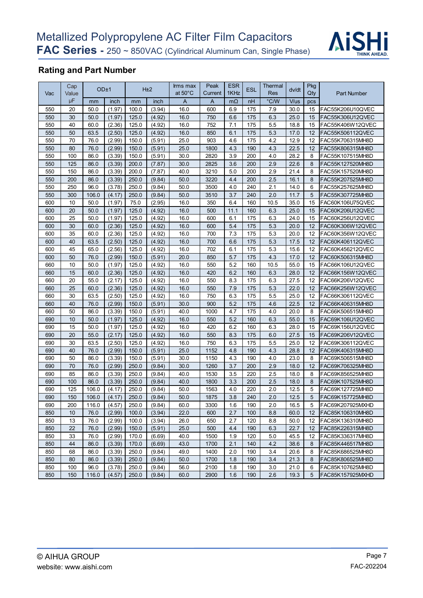

## Rating and Part Number

| Vac        | Cap<br>Value | OD±1          |        |       | H <sub>±2</sub>  | Irms max<br>at $50^{\circ}$ C | Peak<br>Current | <b>ESR</b><br>1KHz | <b>ESL</b> | Thermal<br>Res | dv/dt | Pkg<br>Qty | <b>Part Number</b> |
|------------|--------------|---------------|--------|-------|------------------|-------------------------------|-----------------|--------------------|------------|----------------|-------|------------|--------------------|
|            | μF           | mm            | inch   | mm    | inch             | A                             | $\overline{A}$  | $m\Omega$          | nH         | °C/W           | V/us  | pcs        |                    |
| 550        | 20           | 50.0          | (1.97) | 100.0 | (3.94)           | 16.0                          | 600             | 6.9                | 175        | 7.9            | 30.0  | 15         | FAC55K206U10QVEC   |
| 550        | 30           | 50.0          | (1.97) | 125.0 | (4.92)           | 16.0                          | 750             | 6.6                | 175        | 6.3            | 25.0  | 15         | FAC55K306U12QVEC   |
| 550        | 40           | 60.0          | (2.36) | 125.0 | (4.92)           | 16.0                          | 752             | 7.1                | 175        | 5.5            | 18.8  | 15         | FAC55K406W12QVEC   |
| 550        | 50           | 63.5          | (2.50) | 125.0 | (4.92)           | 16.0                          | 850             | 6.1                | 175        | 5.3            | 17.0  | 12         | FAC55K506112QVEC   |
| 550        | 70           | 76.0          | (2.99) | 150.0 | (5.91)           | 25.0                          | 903             | 4.6                | 175        | 4.2            | 12.9  | 12         | FAC55K706315MH8D   |
| 550        | 80           | 76.0          | (2.99) | 150.0 | (5.91)           | 25.0                          | 1800            | 4.3                | 190        | 4.3            | 22.5  | 12         | FAC55K806315MH8D   |
| 550        | 100          | 86.0          | (3.39) | 150.0 | (5.91)           | 30.0                          | 2820            | 3.9                | 200        | 4.0            | 28.2  | 8          | FAC55K107515MH8D   |
| 550        | 125          | 86.0          | (3.39) | 200.0 | (7.87)           | 30.0                          | 2825            | 3.6                | 200        | 2.9            | 22.6  | 8          | FAC55K127520MH8D   |
| 550        | 150          | 86.0          | (3.39) | 200.0 | (7.87)           | 40.0                          | 3210            | 5.0                | 200        | 2.9            | 21.4  | 8          | FAC55K157520MH8D   |
| 550        | 200          | 86.0          | (3.39) | 250.0 | (9.84)           | 50.0                          | 3220            | 4.4                | 200        | 2.5            | 16.1  | 8          | FAC55K207525MH8D   |
| 550        | 250          | 96.0          | (3.78) | 250.0 | (9.84)           | 50.0                          | 3500            | 4.0                | 240        | 2.1            | 14.0  | 6          | FAC55K257625MH8D   |
| 550        | 300          | 106.0         | (4.17) | 250.0 | (9.84)           | 50.0                          | 3510            | 3.7                | 240        | 2.0            | 11.7  | 5          | FAC55K307725MH8D   |
| 600        | 10           | 50.0          | (1.97) | 75.0  | (2.95)           | 16.0                          | 350             | 6.4                | 160        | 10.5           | 35.0  | 15         | FAC60K106U75QVEC   |
| 600        | 20           | 50.0          | (1.97) | 125.0 | (4.92)           | 16.0                          | 500             | 11.1               | 160        | 6.3            | 25.0  | 15         | FAC60K206U12QVEC   |
| 600        | 25           | 50.0          | (1.97) | 125.0 | (4.92)           | 16.0                          | 600             | 6.1                | 175        | 6.3            | 24.0  | 15         | FAC60K256U12QVEC   |
| 600        | 30           | 60.0          | (2.36) | 125.0 | (4.92)           | 16.0                          | 600             | 5.4                | 175        | 5.3            | 20.0  | 12         | FAC60K306W12QVEC   |
| 600        | 35           | 60.0          | (2.36) | 125.0 | (4.92)           | 16.0                          | 700             | 7.3                | 175        | 5.3            | 20.0  | 12         | FAC60K356W12QVEC   |
| 600        | 40           | 63.5          | (2.50) | 125.0 | (4.92)           | 16.0                          | 700             | 6.6                | 175        | 5.3            | 17.5  | 12         | FAC60K406112QVEC   |
| 600        | 45           | 65.0          | (2.56) | 125.0 | (4.92)           | 16.0                          | 702             | 6.1                | 175        | 5.3            | 15.6  | 12         | FAC60K456212QVEC   |
| 600        | 50           | 76.0          | (2.99) | 150.0 | (5.91)           | 20.0                          | 850             | 5.7                | 175        | 4.3            | 17.0  | 12         | FAC60K506315MH8D   |
| 660        | 10           | 50.0          | (1.97) | 125.0 | (4.92)           | 16.0                          | 550             | 5.2                | 160        | 10.5           | 55.0  | 15         | FAC66K106U12QVEC   |
| 660        | 15           | 60.0          | (2.36) | 125.0 | (4.92)           | 16.0                          | 420             | 6.2                | 160        | 6.3            | 28.0  | 12         | FAC66K156W12QVEC   |
| 660        | 20           | 55.0          | (2.17) | 125.0 | (4.92)           | 16.0                          | 550             | 8.3                | 175        | 6.3            | 27.5  | 12         | FAC66K206V12QVEC   |
| 660        | 25           | 60.0          | (2.36) | 125.0 | (4.92)           | 16.0                          | 550             | 7.9                | 175        | 5.3            | 22.0  | 12         | FAC66K256W12QVEC   |
| 660        | 30           | 63.5          | (2.50) | 125.0 | (4.92)           | 16.0                          | 750             | 6.3                | 175        | 5.5            | 25.0  | 12         | FAC66K306112QVEC   |
| 660        | 40           | 76.0          | (2.99) | 150.0 | (5.91)           | 30.0                          | 900             | 5.2                | 175        | 4.6            | 22.5  | 12         | FAC66K406315MH8D   |
| 660        | 50           | 86.0          | (3.39) | 150.0 | (5.91)           | 40.0                          | 1000            | 4.7                | 175        | 4.0            | 20.0  | 8          | FAC66K506515MH8D   |
| 690        | 10           | 50.0          | (1.97) | 125.0 | (4.92)           | 16.0                          | 550             | 5.2                | 160        | 6.3            | 55.0  | 15         | FAC69K106U12QVEC   |
| 690        | 15           | 50.0          | (1.97) | 125.0 | (4.92)           | 16.0                          | 420             | 6.2                | 160        | 6.3            | 28.0  | 15         | FAC69K156U12QVEC   |
| 690        | 20           | 55.0          | (2.17) | 125.0 | (4.92)           | 16.0                          | 550             | 8.3                | 175        | 6.0            | 27.5  | 15         | FAC69K206V12QVEC   |
| 690        | 30           | 63.5          | (2.50) | 125.0 | (4.92)           | 16.0                          | 750             | 6.3                | 175        | 5.5            | 25.0  | 12         | FAC69K306112QVEC   |
| 690        | 40           | 76.0          | (2.99) | 150.0 | (5.91)           | 25.0                          | 1152            | 4.8                | 190        | 4.3            | 28.8  | 12         | FAC69K406315MH8D   |
| 690        | 50           | 86.0          | (3.39) | 150.0 | (5.91)           | 30.0                          | 1150            | 4.3                | 190        | 4.0            | 23.0  | 8          | FAC69K506515MH8D   |
| 690        | 70           | 76.0          | (2.99) | 250.0 | (9.84)           | 30.0                          | 1260            | 3.7                | 200        | 2.9            | 18.0  | 12         | FAC69K706325MH8D   |
| 690        | 85           | 86.0          | (3.39) | 250.0 | (9.84)           | 40.0                          | 1530            | 3.5                | 220        | 2.5            | 18.0  | 8          | FAC69K856525MH8D   |
| 690        | 100          | 86.0          | (3.39) | 250.0 | (9.84)           | 40.0                          | 1800            | 3.3                | 200        | 2.5            | 18.0  | 8          | FAC69K107525MH8D   |
| 690        | 125          | 106.0         | (4.17) | 250.0 | (9.84)           | 50.0                          | 1563            | 4.0                | 220        | 2.0            | 12.5  | 5          | FAC69K127725MH8D   |
| 690        | 150          | 106.0         | (4.17) | 250.0 | (9.84)           | 50.0                          | 1875            | 3.8                | 240        | 2.0            | 12.5  | 5          | FAC69K157725MH8D   |
|            |              |               | (4.57) | 250.0 |                  |                               |                 | 1.6                |            |                | 16.5  | 5          | FAC69K207925MXHD   |
| 690<br>850 | 200<br>10    | 116.0<br>76.0 | (2.99) | 100.0 | (9.84)<br>(3.94) | 60.0<br>22.0                  | 3300<br>600     | 2.7                | 190<br>100 | 2.0<br>8.8     | 60.0  | 12         |                    |
| 850        | 13           | 76.0          | (2.99) | 100.0 |                  | 26.0                          | 650             | 2.7                | 120        | 8.8            | 50.0  | 12         | FAC85K106310MH8D   |
|            |              |               |        |       | (3.94)           |                               |                 |                    |            |                |       |            | FAC85K136310MH8D   |
| 850        | 22           | 76.0          | (2.99) | 150.0 | (5.91)           | 25.0                          | 500             | 4.4                | 190        | 6.3            | 22.7  | 12         | FAC85K226315MH8D   |
| 850        | 33           | 76.0          | (2.99) | 170.0 | (6.69)           | 40.0                          | 1500            | 1.9                | 120        | 5.0            | 45.5  | 12         | FAC85K336317MH8D   |
| 850        | 44           | 86.0          | (3.39) | 170.0 | (6.69)           | 43.0                          | 1700            | 2.1                | 140        | 4.2            | 38.6  | 8          | FAC85K446517MH8D   |
| 850        | 68           | 86.0          | (3.39) | 250.0 | (9.84)           | 49.0                          | 1400            | 2.0                | 190        | 3.4            | 20.6  | 8          | FAC85K686525MH8D   |
| 850        | 80           | 86.0          | (3.39) | 250.0 | (9.84)           | 50.0                          | 1700            | 1.8                | 190        | 3.4            | 21.3  | 8          | FAC85K806525MH8D   |
| 850        | 100          | 96.0          | (3.78) | 250.0 | (9.84)           | 56.0                          | 2100            | 1.8                | 190        | 3.0            | 21.0  | 6          | FAC85K107625MH8D   |
| 850        | 150          | 116.0         | (4.57) | 250.0 | (9.84)           | 60.0                          | 2900            | 1.6                | 190        | 2.6            | 19.3  | 5          | FAC85K157925MXHD   |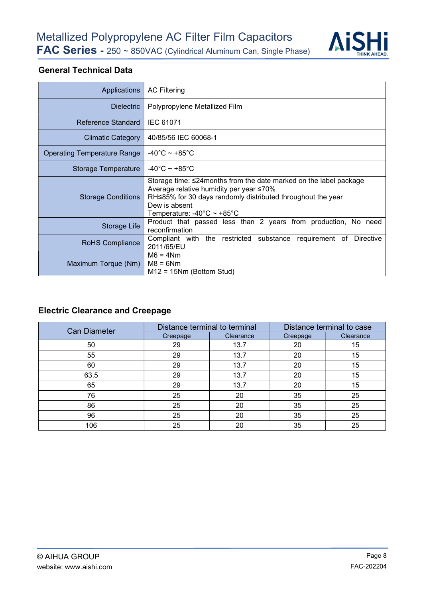

#### General Technical Data

| Applications                | <b>AC Filtering</b>                                                                                                                                                                                                         |  |  |  |  |  |  |  |
|-----------------------------|-----------------------------------------------------------------------------------------------------------------------------------------------------------------------------------------------------------------------------|--|--|--|--|--|--|--|
| <b>Dielectric</b>           | Polypropylene Metallized Film                                                                                                                                                                                               |  |  |  |  |  |  |  |
| Reference Standard          | <b>IEC 61071</b>                                                                                                                                                                                                            |  |  |  |  |  |  |  |
| <b>Climatic Category</b>    | 40/85/56 IEC 60068-1                                                                                                                                                                                                        |  |  |  |  |  |  |  |
| Operating Temperature Range | $-40^{\circ}$ C ~ +85 $^{\circ}$ C                                                                                                                                                                                          |  |  |  |  |  |  |  |
| Storage Temperature         | $-40^{\circ}$ C ~ +85 $^{\circ}$ C                                                                                                                                                                                          |  |  |  |  |  |  |  |
| <b>Storage Conditions</b>   | Storage time: ≤24 months from the date marked on the label package<br>Average relative humidity per year ≤70%<br>RH≤85% for 30 days randomly distributed throughout the year<br>Dew is absent<br>Temperature: -40°C ~ +85°C |  |  |  |  |  |  |  |
| Storage Life                | Product that passed less than 2 years from production, No need<br>reconfirmation                                                                                                                                            |  |  |  |  |  |  |  |
| <b>RoHS Compliance</b>      | Compliant with the restricted substance requirement of Directive<br>2011/65/EU                                                                                                                                              |  |  |  |  |  |  |  |
| Maximum Torque (Nm)         | $M6 = 4Nm$<br>$M8 = 6Nm$<br>$M12 = 15Nm$ (Bottom Stud)                                                                                                                                                                      |  |  |  |  |  |  |  |

# Electric Clearance and Creepage

| <b>Can Diameter</b> | Distance terminal to terminal |           | Distance terminal to case |           |  |
|---------------------|-------------------------------|-----------|---------------------------|-----------|--|
|                     | Creepage                      | Clearance | Creepage                  | Clearance |  |
| 50                  | 29                            | 13.7      | 20                        | 15        |  |
| 55                  | 29                            | 13.7      | 20                        | 15        |  |
| 60                  | 29                            | 13.7      | 20                        | 15        |  |
| 63.5                | 29                            | 13.7      | 20                        | 15        |  |
| 65                  | 29                            | 13.7      | 20                        | 15        |  |
| 76                  | 25                            | 20        | 35                        | 25        |  |
| 86                  | 25                            | 20        | 35                        | 25        |  |
| 96                  | 25                            | 20        | 35                        | 25        |  |
| 106                 | 25                            | 20        | 35                        | 25        |  |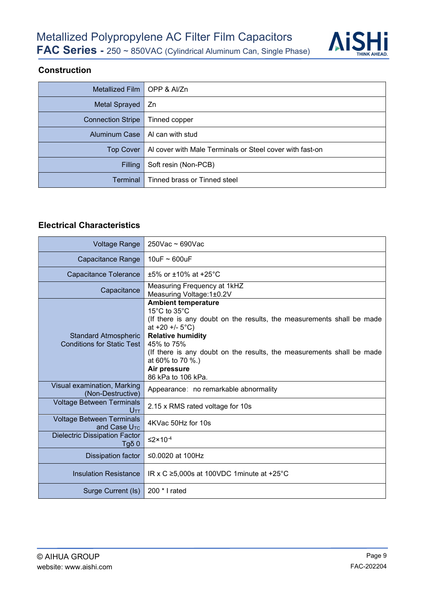

#### Construction

| Metallized Film $\vert$ OPP & Al/Zn |                                                          |
|-------------------------------------|----------------------------------------------------------|
| Metal Sprayed                       | Zn                                                       |
| <b>Connection Stripe</b>            | Tinned copper                                            |
| Aluminum Case                       | Al can with stud                                         |
| <b>Top Cover</b>                    | Al cover with Male Terminals or Steel cover with fast-on |
| <b>Filling</b>                      | Soft resin (Non-PCB)                                     |
| <b>Terminal</b>                     | Tinned brass or Tinned steel                             |

#### Electrical Characteristics

| <b>Voltage Range</b>                                             | $250$ Vac ~ 690Vac                                                                                                                                                                                                                                                                                                                               |  |
|------------------------------------------------------------------|--------------------------------------------------------------------------------------------------------------------------------------------------------------------------------------------------------------------------------------------------------------------------------------------------------------------------------------------------|--|
| Capacitance Range                                                | 10uF $\sim$ 600uF                                                                                                                                                                                                                                                                                                                                |  |
| Capacitance Tolerance                                            | $±5\%$ or $±10\%$ at $+25\degree$ C                                                                                                                                                                                                                                                                                                              |  |
| Capacitance                                                      | Measuring Frequency at 1kHZ<br>Measuring Voltage: 1±0.2V                                                                                                                                                                                                                                                                                         |  |
| <b>Standard Atmospheric</b><br><b>Conditions for Static Test</b> | <b>Ambient temperature</b><br>15 $\degree$ C to 35 $\degree$ C<br>(If there is any doubt on the results, the measurements shall be made<br>at $+20 + (-5^{\circ}C)$<br><b>Relative humidity</b><br>45% to 75%<br>(If there is any doubt on the results, the measurements shall be made<br>at 60% to 70 %.)<br>Air pressure<br>86 kPa to 106 kPa. |  |
| Visual examination, Marking<br>(Non-Destructive)                 | Appearance: no remarkable abnormality                                                                                                                                                                                                                                                                                                            |  |
| <b>Voltage Between Terminals</b><br>Uтт                          | 2.15 x RMS rated voltage for 10s                                                                                                                                                                                                                                                                                                                 |  |
| <b>Voltage Between Terminals</b><br>and Case $UTC$               | 4KVac 50Hz for 10s                                                                                                                                                                                                                                                                                                                               |  |
| <b>Dielectric Dissipation Factor</b><br>Tgδ $0$                  | $\leq$ 2×10 <sup>-4</sup>                                                                                                                                                                                                                                                                                                                        |  |
| Dissipation factor                                               | ≤0.0020 at 100Hz                                                                                                                                                                                                                                                                                                                                 |  |
| <b>Insulation Resistance</b>                                     | IR x C $\geq$ 5,000s at 100VDC 1 minute at +25°C                                                                                                                                                                                                                                                                                                 |  |
| Surge Current (Is)                                               | 200 * I rated                                                                                                                                                                                                                                                                                                                                    |  |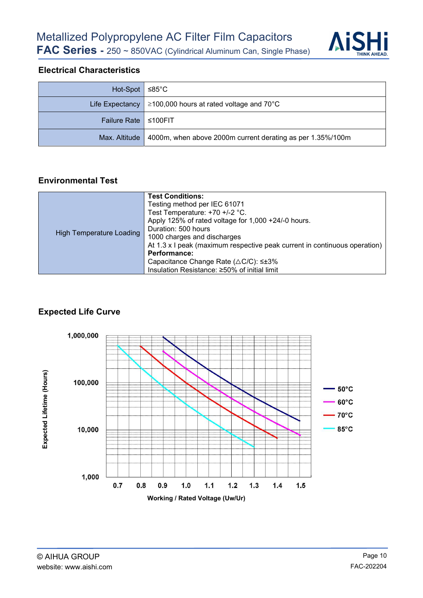

#### Electrical Characteristics

| $Hot-Spot \simeq 85^{\circ}C$ |                                                                  |  |
|-------------------------------|------------------------------------------------------------------|--|
|                               | Life Expectancy   $\geq$ 100,000 hours at rated voltage and 70°C |  |
| Failure Rate   ≤100FIT        |                                                                  |  |
| Max. Altitude                 | 4000m, when above 2000m current derating as per 1.35%/100m       |  |

#### Environmental Test

| <b>High Temperature Loading</b> | <b>Test Conditions:</b>                                                   |
|---------------------------------|---------------------------------------------------------------------------|
|                                 | Testing method per IEC 61071                                              |
|                                 | Test Temperature: +70 +/-2 °C.                                            |
|                                 | Apply 125% of rated voltage for 1,000 +24/-0 hours.                       |
|                                 | Duration: 500 hours                                                       |
|                                 | 1000 charges and discharges                                               |
|                                 | At 1.3 x I peak (maximum respective peak current in continuous operation) |
|                                 | Performance:                                                              |
|                                 | Capacitance Change Rate (△C/C): ≤±3%                                      |
|                                 | Insulation Resistance: ≥50% of initial limit                              |

#### Expected Life Curve